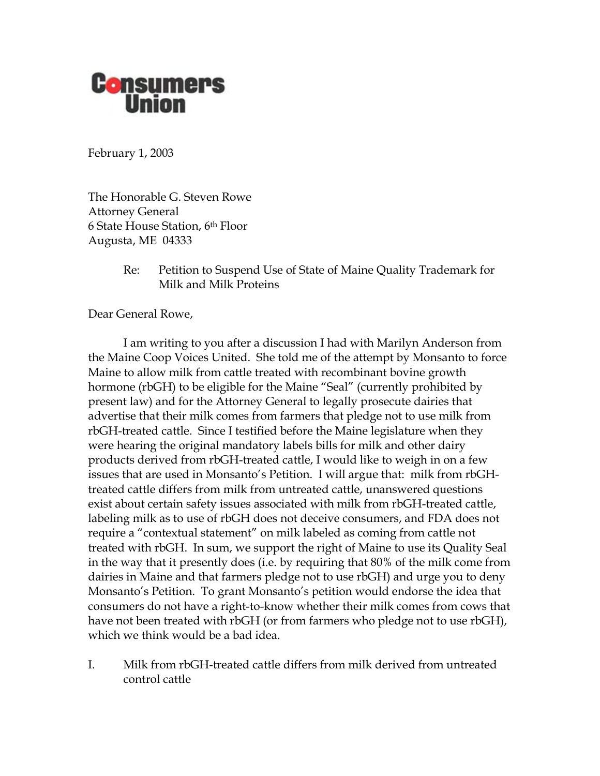

February 1, 2003

The Honorable G. Steven Rowe Attorney General 6 State House Station, 6th Floor Augusta, ME 04333

> Re: Petition to Suspend Use of State of Maine Quality Trademark for Milk and Milk Proteins

Dear General Rowe,

 I am writing to you after a discussion I had with Marilyn Anderson from the Maine Coop Voices United. She told me of the attempt by Monsanto to force Maine to allow milk from cattle treated with recombinant bovine growth hormone (rbGH) to be eligible for the Maine "Seal" (currently prohibited by present law) and for the Attorney General to legally prosecute dairies that advertise that their milk comes from farmers that pledge not to use milk from rbGH-treated cattle. Since I testified before the Maine legislature when they were hearing the original mandatory labels bills for milk and other dairy products derived from rbGH-treated cattle, I would like to weigh in on a few issues that are used in Monsanto's Petition. I will argue that: milk from rbGHtreated cattle differs from milk from untreated cattle, unanswered questions exist about certain safety issues associated with milk from rbGH-treated cattle, labeling milk as to use of rbGH does not deceive consumers, and FDA does not require a "contextual statement" on milk labeled as coming from cattle not treated with rbGH. In sum, we support the right of Maine to use its Quality Seal in the way that it presently does (i.e. by requiring that 80% of the milk come from dairies in Maine and that farmers pledge not to use rbGH) and urge you to deny Monsanto's Petition. To grant Monsanto's petition would endorse the idea that consumers do not have a right-to-know whether their milk comes from cows that have not been treated with rbGH (or from farmers who pledge not to use rbGH), which we think would be a bad idea.

I. Milk from rbGH-treated cattle differs from milk derived from untreated control cattle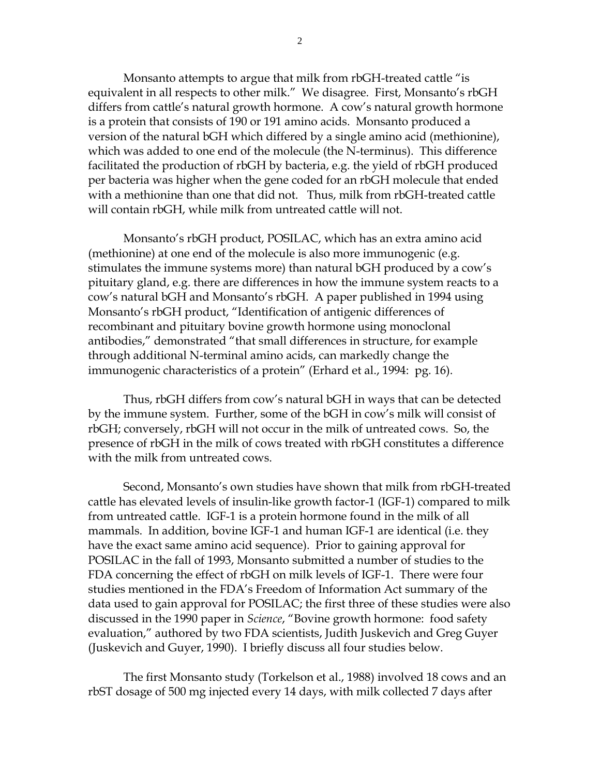Monsanto attempts to argue that milk from rbGH-treated cattle "is equivalent in all respects to other milk." We disagree. First, Monsanto's rbGH differs from cattle's natural growth hormone. A cow's natural growth hormone is a protein that consists of 190 or 191 amino acids. Monsanto produced a version of the natural bGH which differed by a single amino acid (methionine), which was added to one end of the molecule (the N-terminus). This difference facilitated the production of rbGH by bacteria, e.g. the yield of rbGH produced per bacteria was higher when the gene coded for an rbGH molecule that ended with a methionine than one that did not. Thus, milk from rbGH-treated cattle will contain rbGH, while milk from untreated cattle will not.

Monsanto's rbGH product, POSILAC, which has an extra amino acid (methionine) at one end of the molecule is also more immunogenic (e.g. stimulates the immune systems more) than natural bGH produced by a cow's pituitary gland, e.g. there are differences in how the immune system reacts to a cow's natural bGH and Monsanto's rbGH. A paper published in 1994 using Monsanto's rbGH product, "Identification of antigenic differences of recombinant and pituitary bovine growth hormone using monoclonal antibodies," demonstrated "that small differences in structure, for example through additional N-terminal amino acids, can markedly change the immunogenic characteristics of a protein" (Erhard et al., 1994: pg. 16).

Thus, rbGH differs from cow's natural bGH in ways that can be detected by the immune system. Further, some of the bGH in cow's milk will consist of rbGH; conversely, rbGH will not occur in the milk of untreated cows. So, the presence of rbGH in the milk of cows treated with rbGH constitutes a difference with the milk from untreated cows.

Second, Monsanto's own studies have shown that milk from rbGH-treated cattle has elevated levels of insulin-like growth factor-1 (IGF-1) compared to milk from untreated cattle. IGF-1 is a protein hormone found in the milk of all mammals. In addition, bovine IGF-1 and human IGF-1 are identical (i.e. they have the exact same amino acid sequence). Prior to gaining approval for POSILAC in the fall of 1993, Monsanto submitted a number of studies to the FDA concerning the effect of rbGH on milk levels of IGF-1. There were four studies mentioned in the FDA's Freedom of Information Act summary of the data used to gain approval for POSILAC; the first three of these studies were also discussed in the 1990 paper in *Science*, "Bovine growth hormone: food safety evaluation," authored by two FDA scientists, Judith Juskevich and Greg Guyer (Juskevich and Guyer, 1990). I briefly discuss all four studies below.

 The first Monsanto study (Torkelson et al., 1988) involved 18 cows and an rbST dosage of 500 mg injected every 14 days, with milk collected 7 days after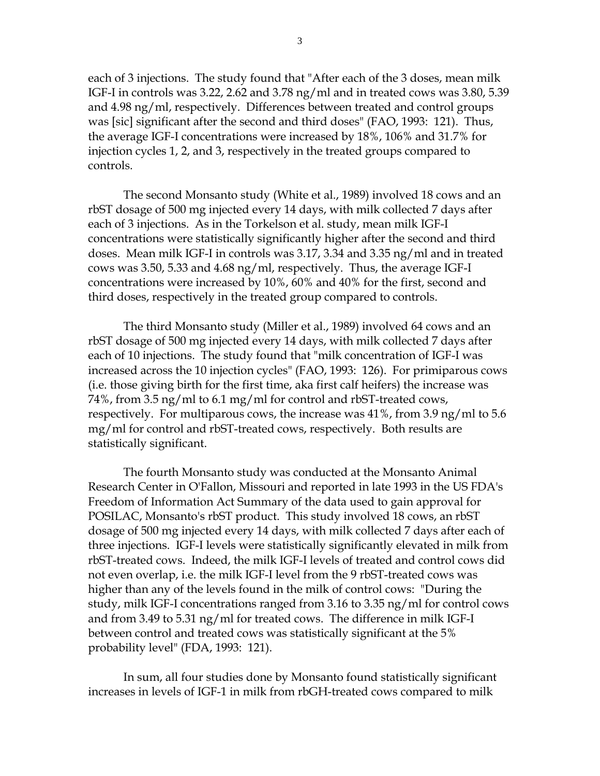each of 3 injections. The study found that "After each of the 3 doses, mean milk IGF-I in controls was 3.22, 2.62 and 3.78 ng/ml and in treated cows was 3.80, 5.39 and 4.98 ng/ml, respectively. Differences between treated and control groups was [sic] significant after the second and third doses" (FAO, 1993: 121). Thus, the average IGF-I concentrations were increased by 18%, 106% and 31.7% for injection cycles 1, 2, and 3, respectively in the treated groups compared to controls.

 The second Monsanto study (White et al., 1989) involved 18 cows and an rbST dosage of 500 mg injected every 14 days, with milk collected 7 days after each of 3 injections. As in the Torkelson et al. study, mean milk IGF-I concentrations were statistically significantly higher after the second and third doses. Mean milk IGF-I in controls was 3.17, 3.34 and 3.35 ng/ml and in treated cows was 3.50, 5.33 and 4.68 ng/ml, respectively. Thus, the average IGF-I concentrations were increased by 10%, 60% and 40% for the first, second and third doses, respectively in the treated group compared to controls.

 The third Monsanto study (Miller et al., 1989) involved 64 cows and an rbST dosage of 500 mg injected every 14 days, with milk collected 7 days after each of 10 injections. The study found that "milk concentration of IGF-I was increased across the 10 injection cycles" (FAO, 1993: 126). For primiparous cows (i.e. those giving birth for the first time, aka first calf heifers) the increase was 74%, from 3.5 ng/ml to 6.1 mg/ml for control and rbST-treated cows, respectively. For multiparous cows, the increase was 41%, from 3.9 ng/ml to 5.6 mg/ml for control and rbST-treated cows, respectively. Both results are statistically significant.

 The fourth Monsanto study was conducted at the Monsanto Animal Research Center in O'Fallon, Missouri and reported in late 1993 in the US FDA's Freedom of Information Act Summary of the data used to gain approval for POSILAC, Monsanto's rbST product. This study involved 18 cows, an rbST dosage of 500 mg injected every 14 days, with milk collected 7 days after each of three injections. IGF-I levels were statistically significantly elevated in milk from rbST-treated cows. Indeed, the milk IGF-I levels of treated and control cows did not even overlap, i.e. the milk IGF-I level from the 9 rbST-treated cows was higher than any of the levels found in the milk of control cows: "During the study, milk IGF-I concentrations ranged from 3.16 to 3.35 ng/ml for control cows and from 3.49 to 5.31 ng/ml for treated cows. The difference in milk IGF-I between control and treated cows was statistically significant at the 5% probability level" (FDA, 1993: 121).

In sum, all four studies done by Monsanto found statistically significant increases in levels of IGF-1 in milk from rbGH-treated cows compared to milk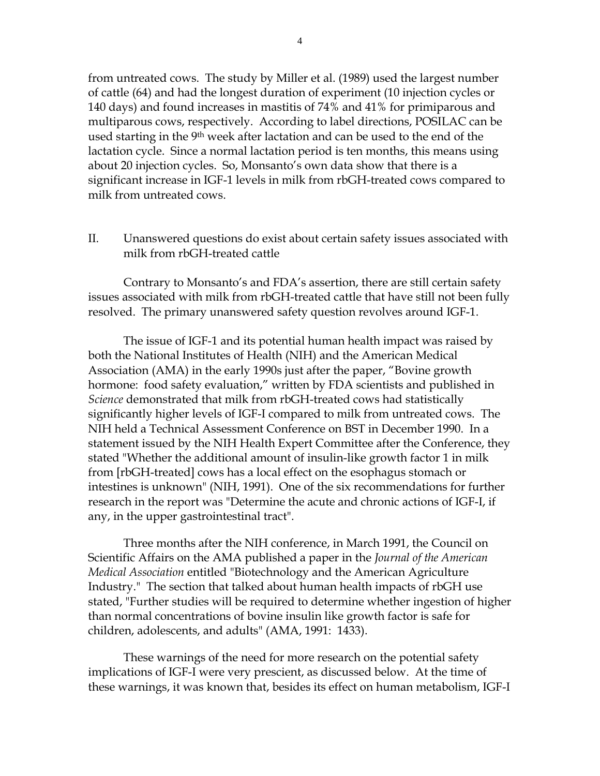from untreated cows. The study by Miller et al. (1989) used the largest number of cattle (64) and had the longest duration of experiment (10 injection cycles or 140 days) and found increases in mastitis of 74% and 41% for primiparous and multiparous cows, respectively. According to label directions, POSILAC can be used starting in the 9<sup>th</sup> week after lactation and can be used to the end of the lactation cycle. Since a normal lactation period is ten months, this means using about 20 injection cycles. So, Monsanto's own data show that there is a significant increase in IGF-1 levels in milk from rbGH-treated cows compared to milk from untreated cows.

II. Unanswered questions do exist about certain safety issues associated with milk from rbGH-treated cattle

Contrary to Monsanto's and FDA's assertion, there are still certain safety issues associated with milk from rbGH-treated cattle that have still not been fully resolved. The primary unanswered safety question revolves around IGF-1.

The issue of IGF-1 and its potential human health impact was raised by both the National Institutes of Health (NIH) and the American Medical Association (AMA) in the early 1990s just after the paper, "Bovine growth hormone: food safety evaluation," written by FDA scientists and published in *Science* demonstrated that milk from rbGH-treated cows had statistically significantly higher levels of IGF-I compared to milk from untreated cows. The NIH held a Technical Assessment Conference on BST in December 1990. In a statement issued by the NIH Health Expert Committee after the Conference, they stated "Whether the additional amount of insulin-like growth factor 1 in milk from [rbGH-treated] cows has a local effect on the esophagus stomach or intestines is unknown" (NIH, 1991). One of the six recommendations for further research in the report was "Determine the acute and chronic actions of IGF-I, if any, in the upper gastrointestinal tract".

 Three months after the NIH conference, in March 1991, the Council on Scientific Affairs on the AMA published a paper in the *Journal of the American Medical Association* entitled "Biotechnology and the American Agriculture Industry." The section that talked about human health impacts of rbGH use stated, "Further studies will be required to determine whether ingestion of higher than normal concentrations of bovine insulin like growth factor is safe for children, adolescents, and adults" (AMA, 1991: 1433).

These warnings of the need for more research on the potential safety implications of IGF-I were very prescient, as discussed below. At the time of these warnings, it was known that, besides its effect on human metabolism, IGF-I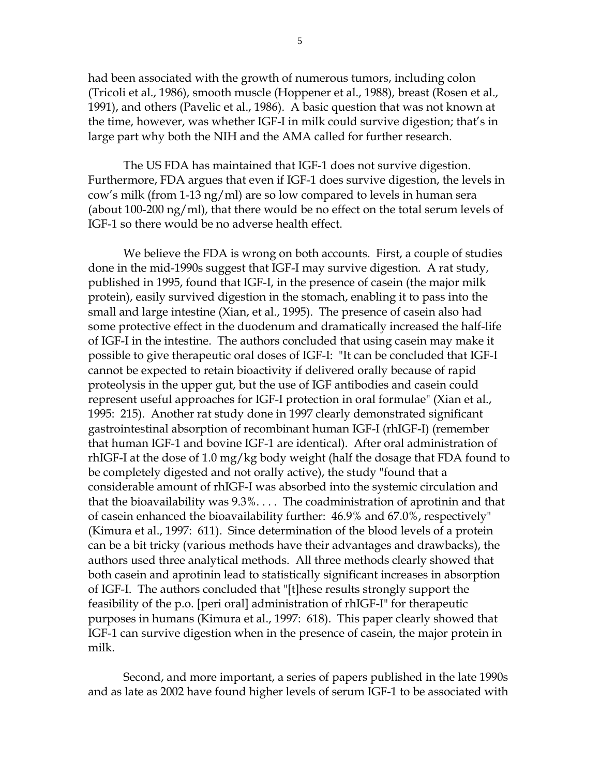had been associated with the growth of numerous tumors, including colon (Tricoli et al., 1986), smooth muscle (Hoppener et al., 1988), breast (Rosen et al., 1991), and others (Pavelic et al., 1986). A basic question that was not known at the time, however, was whether IGF-I in milk could survive digestion; that's in large part why both the NIH and the AMA called for further research.

The US FDA has maintained that IGF-1 does not survive digestion. Furthermore, FDA argues that even if IGF-1 does survive digestion, the levels in cow's milk (from 1-13 ng/ml) are so low compared to levels in human sera (about 100-200 ng/ml), that there would be no effect on the total serum levels of IGF-1 so there would be no adverse health effect.

We believe the FDA is wrong on both accounts. First, a couple of studies done in the mid-1990s suggest that IGF-I may survive digestion. A rat study, published in 1995, found that IGF-I, in the presence of casein (the major milk protein), easily survived digestion in the stomach, enabling it to pass into the small and large intestine (Xian, et al., 1995). The presence of casein also had some protective effect in the duodenum and dramatically increased the half-life of IGF-I in the intestine. The authors concluded that using casein may make it possible to give therapeutic oral doses of IGF-I: "It can be concluded that IGF-I cannot be expected to retain bioactivity if delivered orally because of rapid proteolysis in the upper gut, but the use of IGF antibodies and casein could represent useful approaches for IGF-I protection in oral formulae" (Xian et al., 1995: 215). Another rat study done in 1997 clearly demonstrated significant gastrointestinal absorption of recombinant human IGF-I (rhIGF-I) (remember that human IGF-1 and bovine IGF-1 are identical). After oral administration of rhIGF-I at the dose of 1.0 mg/kg body weight (half the dosage that FDA found to be completely digested and not orally active), the study "found that a considerable amount of rhIGF-I was absorbed into the systemic circulation and that the bioavailability was 9.3%. . . . The coadministration of aprotinin and that of casein enhanced the bioavailability further: 46.9% and 67.0%, respectively" (Kimura et al., 1997: 611). Since determination of the blood levels of a protein can be a bit tricky (various methods have their advantages and drawbacks), the authors used three analytical methods. All three methods clearly showed that both casein and aprotinin lead to statistically significant increases in absorption of IGF-I. The authors concluded that "[t]hese results strongly support the feasibility of the p.o. [peri oral] administration of rhIGF-I" for therapeutic purposes in humans (Kimura et al., 1997: 618). This paper clearly showed that IGF-1 can survive digestion when in the presence of casein, the major protein in milk.

Second, and more important, a series of papers published in the late 1990s and as late as 2002 have found higher levels of serum IGF-1 to be associated with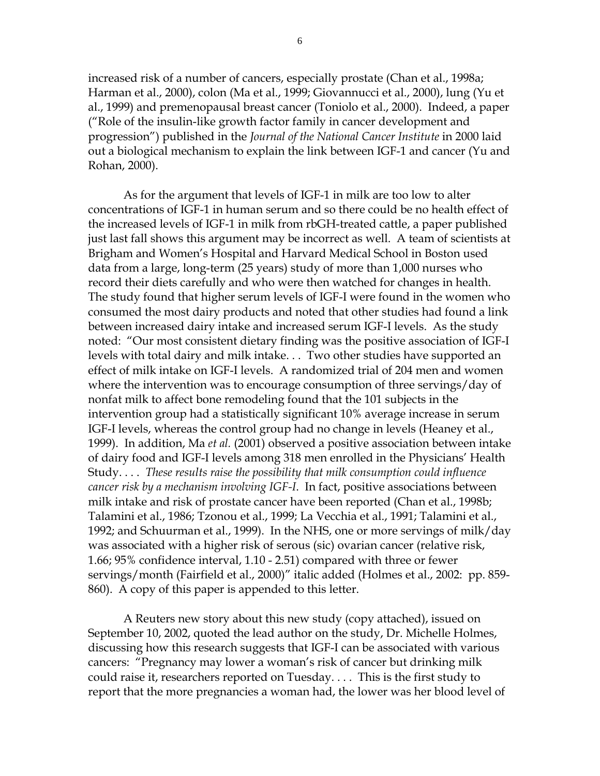increased risk of a number of cancers, especially prostate (Chan et al., 1998a; Harman et al., 2000), colon (Ma et al., 1999; Giovannucci et al., 2000), lung (Yu et al., 1999) and premenopausal breast cancer (Toniolo et al., 2000). Indeed, a paper ("Role of the insulin-like growth factor family in cancer development and progression") published in the *Journal of the National Cancer Institute* in 2000 laid out a biological mechanism to explain the link between IGF-1 and cancer (Yu and Rohan, 2000).

As for the argument that levels of IGF-1 in milk are too low to alter concentrations of IGF-1 in human serum and so there could be no health effect of the increased levels of IGF-1 in milk from rbGH-treated cattle, a paper published just last fall shows this argument may be incorrect as well. A team of scientists at Brigham and Women's Hospital and Harvard Medical School in Boston used data from a large, long-term (25 years) study of more than 1,000 nurses who record their diets carefully and who were then watched for changes in health. The study found that higher serum levels of IGF-I were found in the women who consumed the most dairy products and noted that other studies had found a link between increased dairy intake and increased serum IGF-I levels. As the study noted: "Our most consistent dietary finding was the positive association of IGF-I levels with total dairy and milk intake. . . Two other studies have supported an effect of milk intake on IGF-I levels. A randomized trial of 204 men and women where the intervention was to encourage consumption of three servings/day of nonfat milk to affect bone remodeling found that the 101 subjects in the intervention group had a statistically significant 10% average increase in serum IGF-I levels, whereas the control group had no change in levels (Heaney et al., 1999). In addition, Ma *et al.* (2001) observed a positive association between intake of dairy food and IGF-I levels among 318 men enrolled in the Physicians' Health Study. . . . *These results raise the possibility that milk consumption could influence cancer risk by a mechanism involving IGF-I*. In fact, positive associations between milk intake and risk of prostate cancer have been reported (Chan et al., 1998b; Talamini et al., 1986; Tzonou et al., 1999; La Vecchia et al., 1991; Talamini et al., 1992; and Schuurman et al., 1999). In the NHS, one or more servings of milk/day was associated with a higher risk of serous (sic) ovarian cancer (relative risk, 1.66; 95% confidence interval, 1.10 - 2.51) compared with three or fewer servings/month (Fairfield et al., 2000)" italic added (Holmes et al., 2002: pp. 859- 860). A copy of this paper is appended to this letter.

A Reuters new story about this new study (copy attached), issued on September 10, 2002, quoted the lead author on the study, Dr. Michelle Holmes, discussing how this research suggests that IGF-I can be associated with various cancers: "Pregnancy may lower a woman's risk of cancer but drinking milk could raise it, researchers reported on Tuesday. . . . This is the first study to report that the more pregnancies a woman had, the lower was her blood level of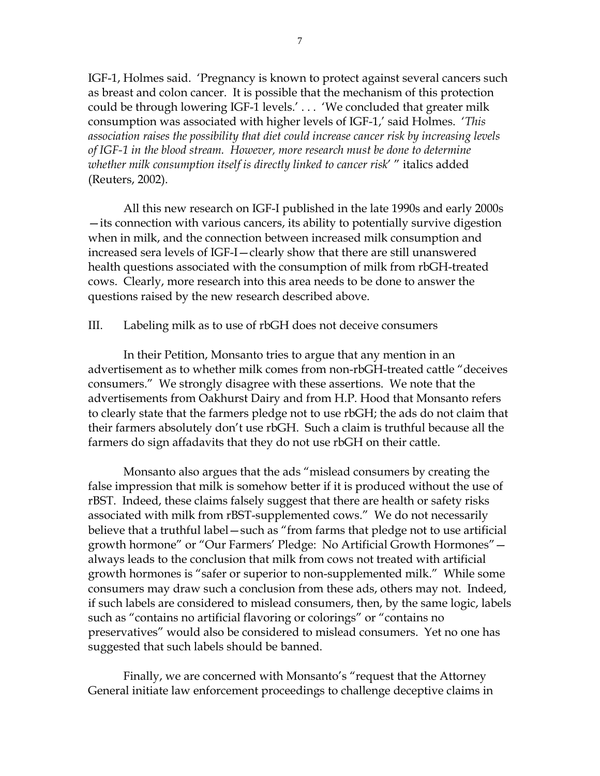IGF-1, Holmes said. 'Pregnancy is known to protect against several cancers such as breast and colon cancer. It is possible that the mechanism of this protection could be through lowering IGF-1 levels.' . . . 'We concluded that greater milk consumption was associated with higher levels of IGF-1,' said Holmes. '*This association raises the possibility that diet could increase cancer risk by increasing levels of IGF-1 in the blood stream. However, more research must be done to determine whether milk consumption itself is directly linked to cancer risk*' " italics added (Reuters, 2002).

All this new research on IGF-I published in the late 1990s and early 2000s —its connection with various cancers, its ability to potentially survive digestion when in milk, and the connection between increased milk consumption and increased sera levels of IGF-I—clearly show that there are still unanswered health questions associated with the consumption of milk from rbGH-treated cows. Clearly, more research into this area needs to be done to answer the questions raised by the new research described above.

III. Labeling milk as to use of rbGH does not deceive consumers

In their Petition, Monsanto tries to argue that any mention in an advertisement as to whether milk comes from non-rbGH-treated cattle "deceives consumers." We strongly disagree with these assertions. We note that the advertisements from Oakhurst Dairy and from H.P. Hood that Monsanto refers to clearly state that the farmers pledge not to use rbGH; the ads do not claim that their farmers absolutely don't use rbGH. Such a claim is truthful because all the farmers do sign affadavits that they do not use rbGH on their cattle.

Monsanto also argues that the ads "mislead consumers by creating the false impression that milk is somehow better if it is produced without the use of rBST. Indeed, these claims falsely suggest that there are health or safety risks associated with milk from rBST-supplemented cows." We do not necessarily believe that a truthful label—such as "from farms that pledge not to use artificial growth hormone" or "Our Farmers' Pledge: No Artificial Growth Hormones" always leads to the conclusion that milk from cows not treated with artificial growth hormones is "safer or superior to non-supplemented milk." While some consumers may draw such a conclusion from these ads, others may not. Indeed, if such labels are considered to mislead consumers, then, by the same logic, labels such as "contains no artificial flavoring or colorings" or "contains no preservatives" would also be considered to mislead consumers. Yet no one has suggested that such labels should be banned.

Finally, we are concerned with Monsanto's "request that the Attorney General initiate law enforcement proceedings to challenge deceptive claims in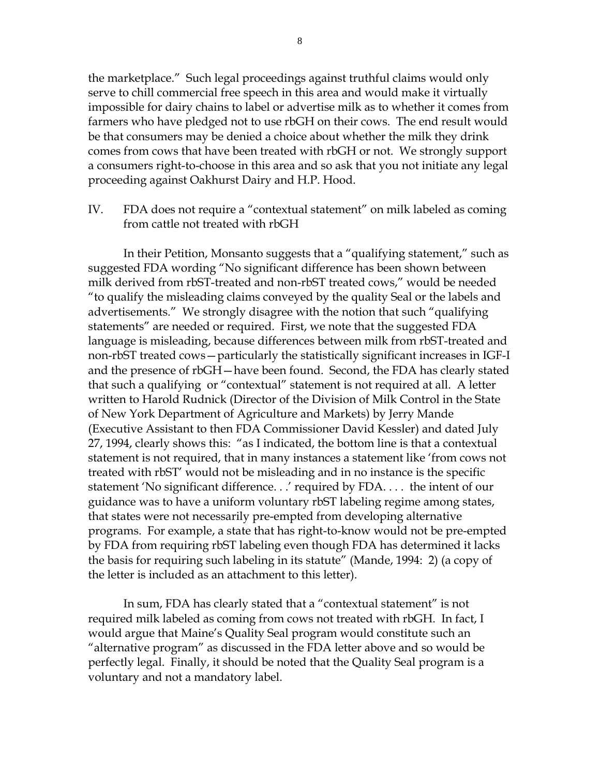the marketplace." Such legal proceedings against truthful claims would only serve to chill commercial free speech in this area and would make it virtually impossible for dairy chains to label or advertise milk as to whether it comes from farmers who have pledged not to use rbGH on their cows. The end result would be that consumers may be denied a choice about whether the milk they drink comes from cows that have been treated with rbGH or not. We strongly support a consumers right-to-choose in this area and so ask that you not initiate any legal proceeding against Oakhurst Dairy and H.P. Hood.

IV. FDA does not require a "contextual statement" on milk labeled as coming from cattle not treated with rbGH

In their Petition, Monsanto suggests that a "qualifying statement," such as suggested FDA wording "No significant difference has been shown between milk derived from rbST-treated and non-rbST treated cows," would be needed "to qualify the misleading claims conveyed by the quality Seal or the labels and advertisements." We strongly disagree with the notion that such "qualifying statements" are needed or required. First, we note that the suggested FDA language is misleading, because differences between milk from rbST-treated and non-rbST treated cows—particularly the statistically significant increases in IGF-I and the presence of rbGH—have been found. Second, the FDA has clearly stated that such a qualifying or "contextual" statement is not required at all. A letter written to Harold Rudnick (Director of the Division of Milk Control in the State of New York Department of Agriculture and Markets) by Jerry Mande (Executive Assistant to then FDA Commissioner David Kessler) and dated July 27, 1994, clearly shows this: "as I indicated, the bottom line is that a contextual statement is not required, that in many instances a statement like 'from cows not treated with rbST' would not be misleading and in no instance is the specific statement 'No significant difference. . .' required by FDA. . . . the intent of our guidance was to have a uniform voluntary rbST labeling regime among states, that states were not necessarily pre-empted from developing alternative programs. For example, a state that has right-to-know would not be pre-empted by FDA from requiring rbST labeling even though FDA has determined it lacks the basis for requiring such labeling in its statute" (Mande, 1994: 2) (a copy of the letter is included as an attachment to this letter).

 In sum, FDA has clearly stated that a "contextual statement" is not required milk labeled as coming from cows not treated with rbGH. In fact, I would argue that Maine's Quality Seal program would constitute such an "alternative program" as discussed in the FDA letter above and so would be perfectly legal. Finally, it should be noted that the Quality Seal program is a voluntary and not a mandatory label.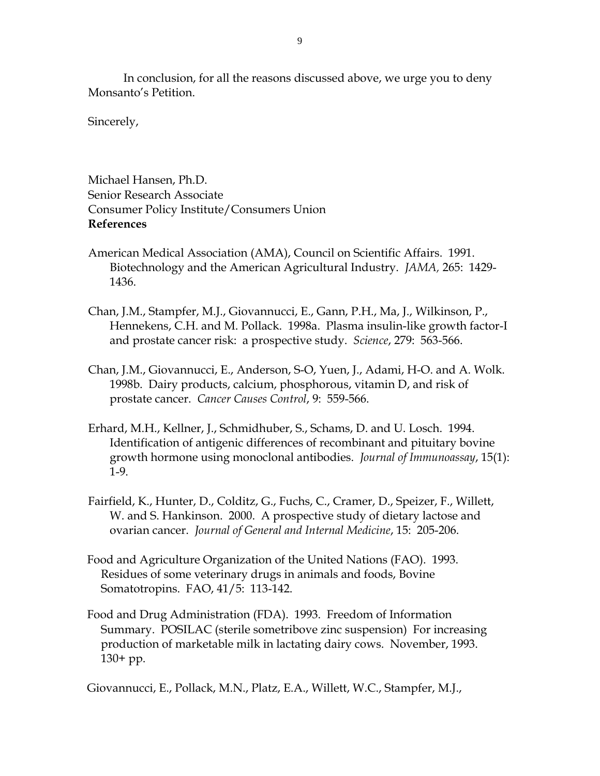In conclusion, for all the reasons discussed above, we urge you to deny Monsanto's Petition.

Sincerely,

Michael Hansen, Ph.D. Senior Research Associate Consumer Policy Institute/Consumers Union **References** 

- American Medical Association (AMA), Council on Scientific Affairs. 1991. Biotechnology and the American Agricultural Industry. *JAMA,* 265: 1429- 1436.
- Chan, J.M., Stampfer, M.J., Giovannucci, E., Gann, P.H., Ma, J., Wilkinson, P., Hennekens, C.H. and M. Pollack. 1998a. Plasma insulin-like growth factor-I and prostate cancer risk: a prospective study. *Science*, 279: 563-566.
- Chan, J.M., Giovannucci, E., Anderson, S-O, Yuen, J., Adami, H-O. and A. Wolk. 1998b. Dairy products, calcium, phosphorous, vitamin D, and risk of prostate cancer. *Cancer Causes Control*, 9: 559-566.
- Erhard, M.H., Kellner, J., Schmidhuber, S., Schams, D. and U. Losch. 1994. Identification of antigenic differences of recombinant and pituitary bovine growth hormone using monoclonal antibodies. *Journal of Immunoassay*, 15(1): 1-9.
- Fairfield, K., Hunter, D., Colditz, G., Fuchs, C., Cramer, D., Speizer, F., Willett, W. and S. Hankinson. 2000. A prospective study of dietary lactose and ovarian cancer. *Journal of General and Internal Medicine*, 15: 205-206.
- Food and Agriculture Organization of the United Nations (FAO). 1993. Residues of some veterinary drugs in animals and foods, Bovine Somatotropins. FAO, 41/5: 113-142.
- Food and Drug Administration (FDA). 1993. Freedom of Information Summary. POSILAC (sterile sometribove zinc suspension) For increasing production of marketable milk in lactating dairy cows. November, 1993. 130+ pp.

Giovannucci, E., Pollack, M.N., Platz, E.A., Willett, W.C., Stampfer, M.J.,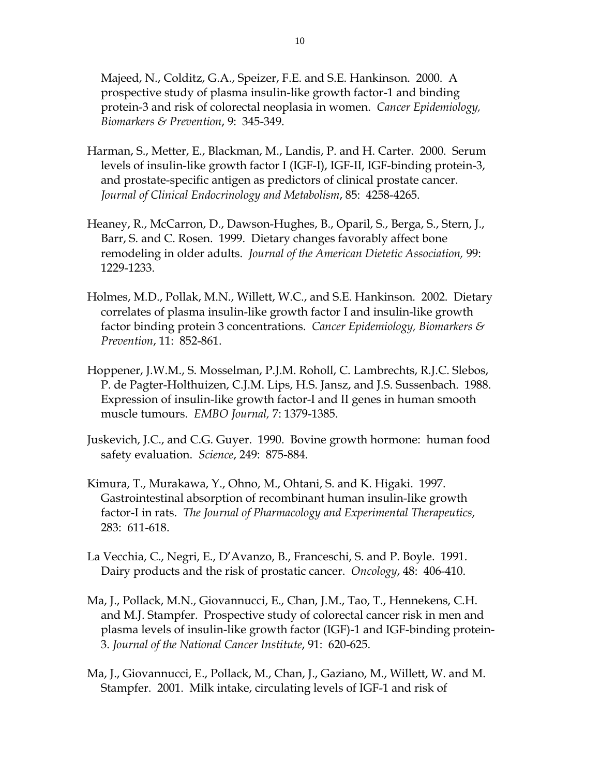Majeed, N., Colditz, G.A., Speizer, F.E. and S.E. Hankinson. 2000. A prospective study of plasma insulin-like growth factor-1 and binding protein-3 and risk of colorectal neoplasia in women. *Cancer Epidemiology, Biomarkers & Prevention*, 9: 345-349.

- Harman, S., Metter, E., Blackman, M., Landis, P. and H. Carter. 2000. Serum levels of insulin-like growth factor I (IGF-I), IGF-II, IGF-binding protein-3, and prostate-specific antigen as predictors of clinical prostate cancer. *Journal of Clinical Endocrinology and Metabolism*, 85: 4258-4265.
- Heaney, R., McCarron, D., Dawson-Hughes, B., Oparil, S., Berga, S., Stern, J., Barr, S. and C. Rosen. 1999. Dietary changes favorably affect bone remodeling in older adults. *Journal of the American Dietetic Association,* 99: 1229-1233.
- Holmes, M.D., Pollak, M.N., Willett, W.C., and S.E. Hankinson. 2002. Dietary correlates of plasma insulin-like growth factor I and insulin-like growth factor binding protein 3 concentrations. *Cancer Epidemiology, Biomarkers & Prevention*, 11: 852-861.
- Hoppener, J.W.M., S. Mosselman, P.J.M. Roholl, C. Lambrechts, R.J.C. Slebos, P. de Pagter-Holthuizen, C.J.M. Lips, H.S. Jansz, and J.S. Sussenbach. 1988. Expression of insulin-like growth factor-I and II genes in human smooth muscle tumours. *EMBO Journal,* 7: 1379-1385.
- Juskevich, J.C., and C.G. Guyer. 1990. Bovine growth hormone: human food safety evaluation. *Science*, 249: 875-884.
- Kimura, T., Murakawa, Y., Ohno, M., Ohtani, S. and K. Higaki. 1997. Gastrointestinal absorption of recombinant human insulin-like growth factor-I in rats. *The Journal of Pharmacology and Experimental Therapeutics*, 283: 611-618.
- La Vecchia, C., Negri, E., D'Avanzo, B., Franceschi, S. and P. Boyle. 1991. Dairy products and the risk of prostatic cancer. *Oncology*, 48: 406-410.
- Ma, J., Pollack, M.N., Giovannucci, E., Chan, J.M., Tao, T., Hennekens, C.H. and M.J. Stampfer. Prospective study of colorectal cancer risk in men and plasma levels of insulin-like growth factor (IGF)-1 and IGF-binding protein-3. *Journal of the National Cancer Institute*, 91: 620-625.
- Ma, J., Giovannucci, E., Pollack, M., Chan, J., Gaziano, M., Willett, W. and M. Stampfer. 2001. Milk intake, circulating levels of IGF-1 and risk of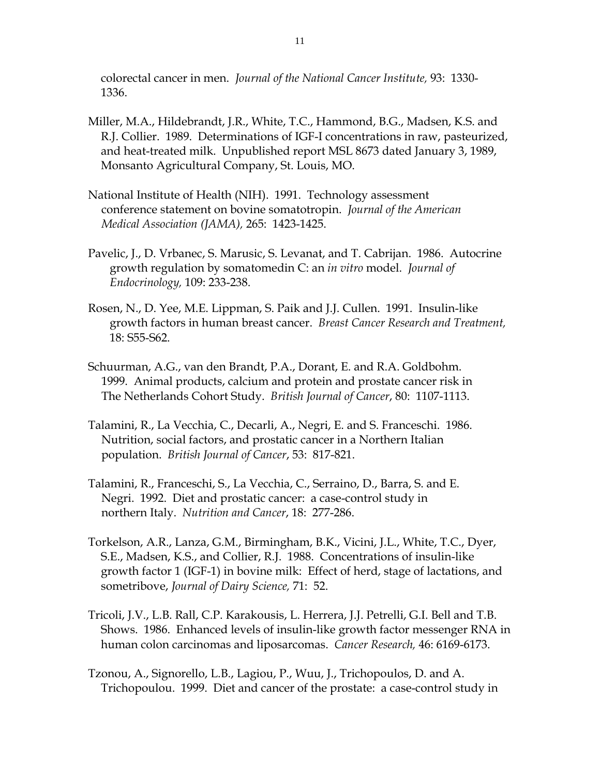colorectal cancer in men. *Journal of the National Cancer Institute,* 93: 1330- 1336.

- Miller, M.A., Hildebrandt, J.R., White, T.C., Hammond, B.G., Madsen, K.S. and R.J. Collier. 1989. Determinations of IGF-I concentrations in raw, pasteurized, and heat-treated milk. Unpublished report MSL 8673 dated January 3, 1989, Monsanto Agricultural Company, St. Louis, MO.
- National Institute of Health (NIH). 1991. Technology assessment conference statement on bovine somatotropin. *Journal of the American Medical Association (JAMA),* 265: 1423-1425.
- Pavelic, J., D. Vrbanec, S. Marusic, S. Levanat, and T. Cabrijan. 1986. Autocrine growth regulation by somatomedin C: an *in vitro* model. *Journal of Endocrinology,* 109: 233-238.
- Rosen, N., D. Yee, M.E. Lippman, S. Paik and J.J. Cullen. 1991. Insulin-like growth factors in human breast cancer. *Breast Cancer Research and Treatment,* 18: S55-S62.
- Schuurman, A.G., van den Brandt, P.A., Dorant, E. and R.A. Goldbohm. 1999. Animal products, calcium and protein and prostate cancer risk in The Netherlands Cohort Study. *British Journal of Cancer*, 80: 1107-1113.
- Talamini, R., La Vecchia, C., Decarli, A., Negri, E. and S. Franceschi. 1986. Nutrition, social factors, and prostatic cancer in a Northern Italian population. *British Journal of Cancer*, 53: 817-821.
- Talamini, R., Franceschi, S., La Vecchia, C., Serraino, D., Barra, S. and E. Negri. 1992. Diet and prostatic cancer: a case-control study in northern Italy. *Nutrition and Cancer*, 18: 277-286.
- Torkelson, A.R., Lanza, G.M., Birmingham, B.K., Vicini, J.L., White, T.C., Dyer, S.E., Madsen, K.S., and Collier, R.J. 1988. Concentrations of insulin-like growth factor 1 (IGF-1) in bovine milk: Effect of herd, stage of lactations, and sometribove, *Journal of Dairy Science,* 71: 52.
- Tricoli, J.V., L.B. Rall, C.P. Karakousis, L. Herrera, J.J. Petrelli, G.I. Bell and T.B. Shows. 1986. Enhanced levels of insulin-like growth factor messenger RNA in human colon carcinomas and liposarcomas. *Cancer Research,* 46: 6169-6173.
- Tzonou, A., Signorello, L.B., Lagiou, P., Wuu, J., Trichopoulos, D. and A. Trichopoulou. 1999. Diet and cancer of the prostate: a case-control study in